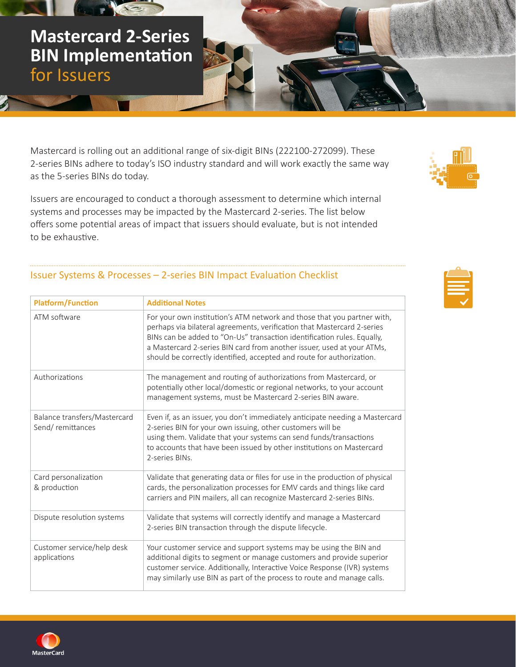Mastercard is rolling out an additional range of six-digit BINs (222100-272099). These 2-series BINs adhere to today's ISO industry standard and will work exactly the same way as the 5-series BINs do today.

Issuers are encouraged to conduct a thorough assessment to determine which internal systems and processes may be impacted by the Mastercard 2-series. The list below offers some potential areas of impact that issuers should evaluate, but is not intended to be exhaustive.

## Issuer Systems & Processes – 2-series BIN Impact Evaluation Checklist

| <b>Platform/Function</b>                         | <b>Additional Notes</b>                                                                                                                                                                                                                                                                                                                                                          |  |
|--------------------------------------------------|----------------------------------------------------------------------------------------------------------------------------------------------------------------------------------------------------------------------------------------------------------------------------------------------------------------------------------------------------------------------------------|--|
| ATM software                                     | For your own institution's ATM network and those that you partner with,<br>perhaps via bilateral agreements, verification that Mastercard 2-series<br>BINs can be added to "On-Us" transaction identification rules. Equally,<br>a Mastercard 2-series BIN card from another issuer, used at your ATMs,<br>should be correctly identified, accepted and route for authorization. |  |
| Authorizations                                   | The management and routing of authorizations from Mastercard, or<br>potentially other local/domestic or regional networks, to your account<br>management systems, must be Mastercard 2-series BIN aware.                                                                                                                                                                         |  |
| Balance transfers/Mastercard<br>Send/remittances | Even if, as an issuer, you don't immediately anticipate needing a Mastercard<br>2-series BIN for your own issuing, other customers will be<br>using them. Validate that your systems can send funds/transactions<br>to accounts that have been issued by other institutions on Mastercard<br>2-series BINs.                                                                      |  |
| Card personalization<br>& production             | Validate that generating data or files for use in the production of physical<br>cards, the personalization processes for EMV cards and things like card<br>carriers and PIN mailers, all can recognize Mastercard 2-series BINs.                                                                                                                                                 |  |
| Dispute resolution systems                       | Validate that systems will correctly identify and manage a Mastercard<br>2-series BIN transaction through the dispute lifecycle.                                                                                                                                                                                                                                                 |  |
| Customer service/help desk<br>applications       | Your customer service and support systems may be using the BIN and<br>additional digits to segment or manage customers and provide superior<br>customer service. Additionally, Interactive Voice Response (IVR) systems<br>may similarly use BIN as part of the process to route and manage calls.                                                                               |  |



for Issuers





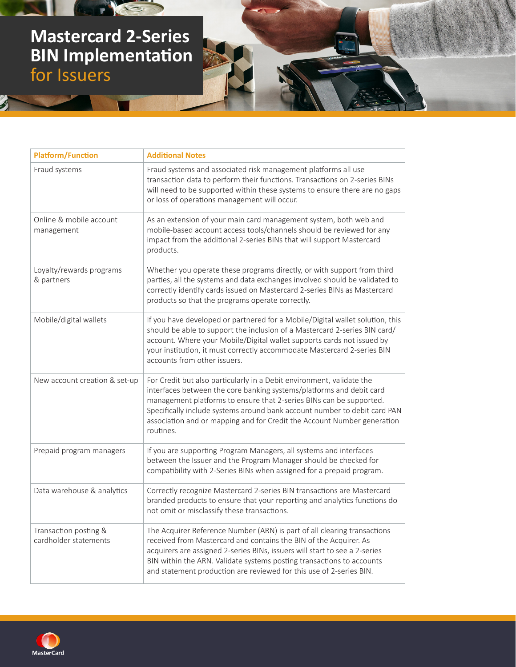## **Mastercard 2-Series BIN Implementation** for Issuers

 $\mathcal{F}$ 

**AND RES** 

| <b>Platform/Function</b>                       | <b>Additional Notes</b>                                                                                                                                                                                                                                                                                                                                                                   |
|------------------------------------------------|-------------------------------------------------------------------------------------------------------------------------------------------------------------------------------------------------------------------------------------------------------------------------------------------------------------------------------------------------------------------------------------------|
| Fraud systems                                  | Fraud systems and associated risk management platforms all use<br>transaction data to perform their functions. Transactions on 2-series BINs<br>will need to be supported within these systems to ensure there are no gaps<br>or loss of operations management will occur.                                                                                                                |
| Online & mobile account<br>management          | As an extension of your main card management system, both web and<br>mobile-based account access tools/channels should be reviewed for any<br>impact from the additional 2-series BINs that will support Mastercard<br>products.                                                                                                                                                          |
| Loyalty/rewards programs<br>& partners         | Whether you operate these programs directly, or with support from third<br>parties, all the systems and data exchanges involved should be validated to<br>correctly identify cards issued on Mastercard 2-series BINs as Mastercard<br>products so that the programs operate correctly.                                                                                                   |
| Mobile/digital wallets                         | If you have developed or partnered for a Mobile/Digital wallet solution, this<br>should be able to support the inclusion of a Mastercard 2-series BIN card/<br>account. Where your Mobile/Digital wallet supports cards not issued by<br>your institution, it must correctly accommodate Mastercard 2-series BIN<br>accounts from other issuers.                                          |
| New account creation & set-up                  | For Credit but also particularly in a Debit environment, validate the<br>interfaces between the core banking systems/platforms and debit card<br>management platforms to ensure that 2-series BINs can be supported.<br>Specifically include systems around bank account number to debit card PAN<br>association and or mapping and for Credit the Account Number generation<br>routines. |
| Prepaid program managers                       | If you are supporting Program Managers, all systems and interfaces<br>between the Issuer and the Program Manager should be checked for<br>compatibility with 2-Series BINs when assigned for a prepaid program.                                                                                                                                                                           |
| Data warehouse & analytics                     | Correctly recognize Mastercard 2-series BIN transactions are Mastercard<br>branded products to ensure that your reporting and analytics functions do<br>not omit or misclassify these transactions.                                                                                                                                                                                       |
| Transaction posting &<br>cardholder statements | The Acquirer Reference Number (ARN) is part of all clearing transactions<br>received from Mastercard and contains the BIN of the Acquirer. As<br>acquirers are assigned 2-series BINs, issuers will start to see a 2-series<br>BIN within the ARN. Validate systems posting transactions to accounts<br>and statement production are reviewed for this use of 2-series BIN.               |